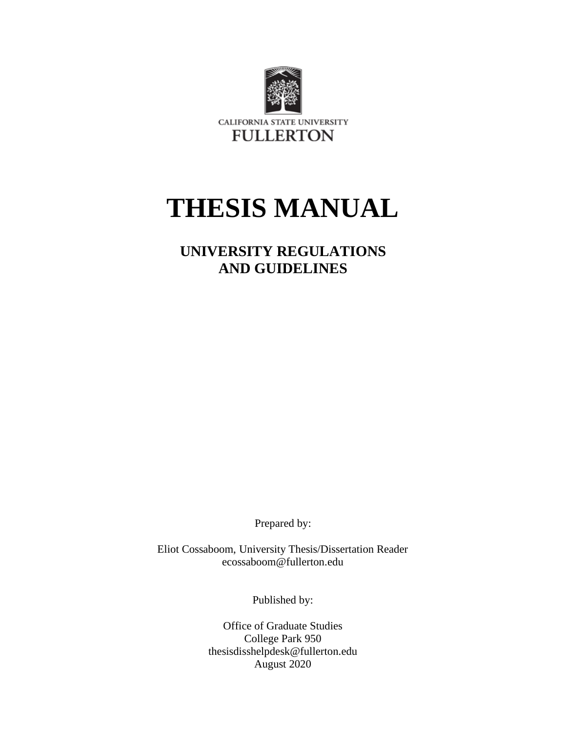

# **THESIS MANUAL**

# **UNIVERSITY REGULATIONS AND GUIDELINES**

Prepared by:

Eliot Cossaboom, University Thesis/Dissertation Reader ecossaboom@fullerton.edu

Published by:

Office of Graduate Studies College Park 950 thesisdisshelpdesk@fullerton.edu August 2020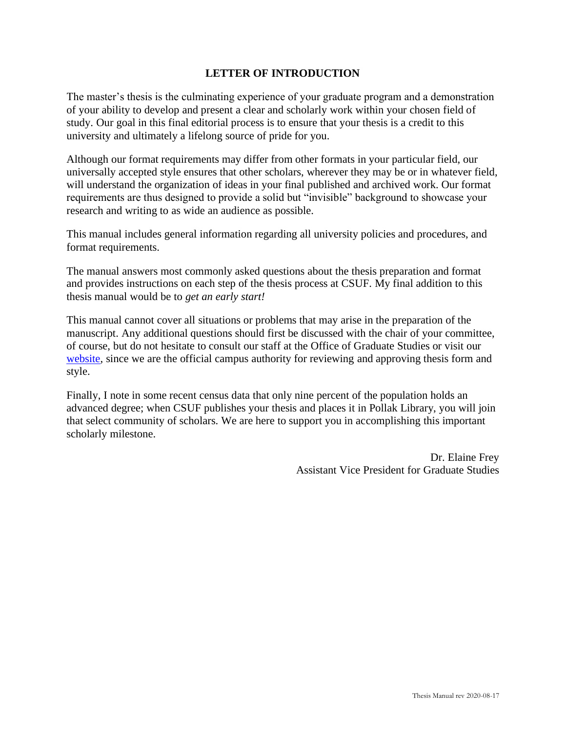# **LETTER OF INTRODUCTION**

The master's thesis is the culminating experience of your graduate program and a demonstration of your ability to develop and present a clear and scholarly work within your chosen field of study. Our goal in this final editorial process is to ensure that your thesis is a credit to this university and ultimately a lifelong source of pride for you.

Although our format requirements may differ from other formats in your particular field, our universally accepted style ensures that other scholars, wherever they may be or in whatever field, will understand the organization of ideas in your final published and archived work. Our format requirements are thus designed to provide a solid but "invisible" background to showcase your research and writing to as wide an audience as possible.

This manual includes general information regarding all university policies and procedures, and format requirements.

The manual answers most commonly asked questions about the thesis preparation and format and provides instructions on each step of the thesis process at CSUF. My final addition to this thesis manual would be to *get an early start!*

This manual cannot cover all situations or problems that may arise in the preparation of the manuscript. Any additional questions should first be discussed with the chair of your committee, of course, but do not hesitate to consult our staff at the Office of Graduate Studies or visit our [website,](https://www.fullerton.edu/graduate/) since we are the official campus authority for reviewing and approving thesis form and style.

Finally, I note in some recent census data that only nine percent of the population holds an advanced degree; when CSUF publishes your thesis and places it in Pollak Library, you will join that select community of scholars. We are here to support you in accomplishing this important scholarly milestone.

> Dr. Elaine Frey Assistant Vice President for Graduate Studies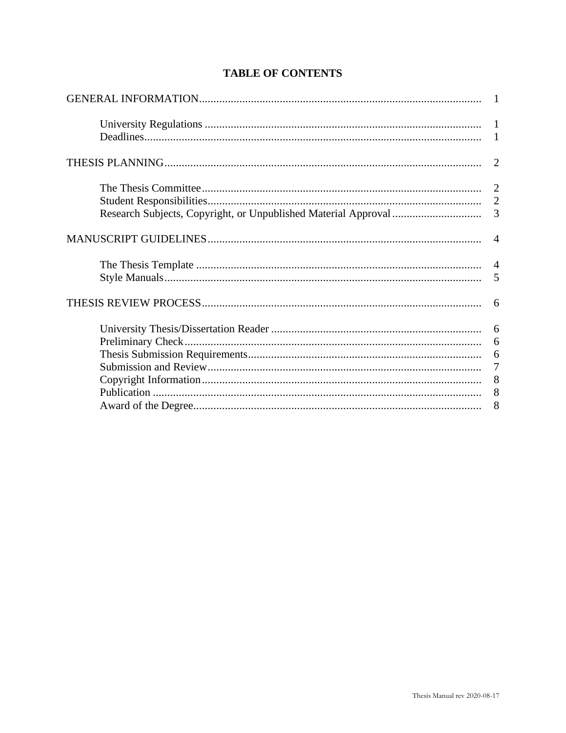| 2               |
|-----------------|
|                 |
|                 |
| $\overline{3}$  |
|                 |
|                 |
| 5               |
|                 |
|                 |
| 6               |
|                 |
| $7\phantom{.0}$ |
|                 |
| 8               |
| 8               |

# **TABLE OF CONTENTS**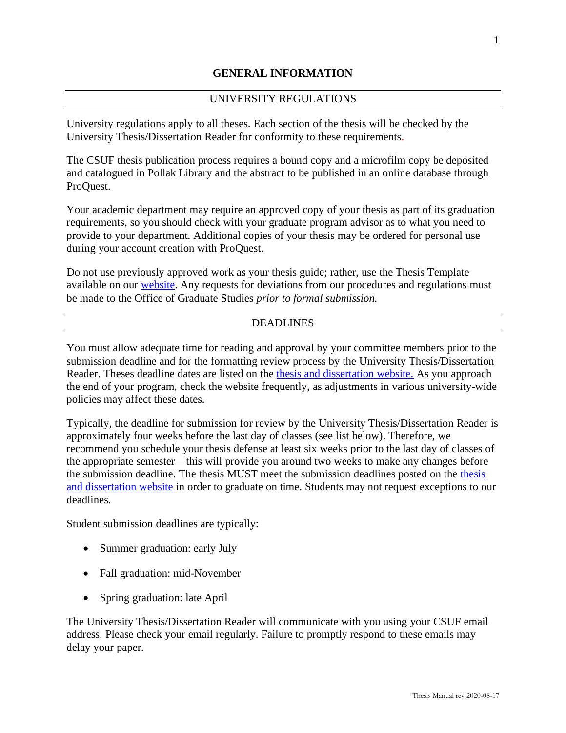# **GENERAL INFORMATION**

# UNIVERSITY REGULATIONS

University regulations apply to all theses. Each section of the thesis will be checked by the University Thesis/Dissertation Reader for conformity to these requirements.

The CSUF thesis publication process requires a bound copy and a microfilm copy be deposited and catalogued in Pollak Library and the abstract to be published in an online database through ProQuest.

Your academic department may require an approved copy of your thesis as part of its graduation requirements, so you should check with your graduate program advisor as to what you need to provide to your department. Additional copies of your thesis may be ordered for personal use during your account creation with ProQuest.

Do not use previously approved work as your thesis guide; rather, use the Thesis Template available on our [website.](https://www.fullerton.edu/graduate/) Any requests for deviations from our procedures and regulations must be made to the Office of Graduate Studies *prior to formal submission.*

#### DEADLINES

You must allow adequate time for reading and approval by your committee members prior to the submission deadline and for the formatting review process by the University Thesis/Dissertation Reader. Theses deadline dates are listed on the [thesis and dissertation website.](https://www.fullerton.edu/graduate/current_students/thesis.php) As you approach the end of your program, check the website frequently, as adjustments in various university-wide policies may affect these dates.

Typically, the deadline for submission for review by the University Thesis/Dissertation Reader is approximately four weeks before the last day of classes (see list below). Therefore, we recommend you schedule your thesis defense at least six weeks prior to the last day of classes of the appropriate semester—this will provide you around two weeks to make any changes before the submission deadline. The thesis MUST meet the submission deadlines posted on the [thesis](https://www.fullerton.edu/graduate/current_students/thesis.php)  [and dissertation website](https://www.fullerton.edu/graduate/current_students/thesis.php) in order to graduate on time. Students may not request exceptions to our deadlines.

Student submission deadlines are typically:

- Summer graduation: early July
- Fall graduation: mid-November
- Spring graduation: late April

The University Thesis/Dissertation Reader will communicate with you using your CSUF email address. Please check your email regularly. Failure to promptly respond to these emails may delay your paper.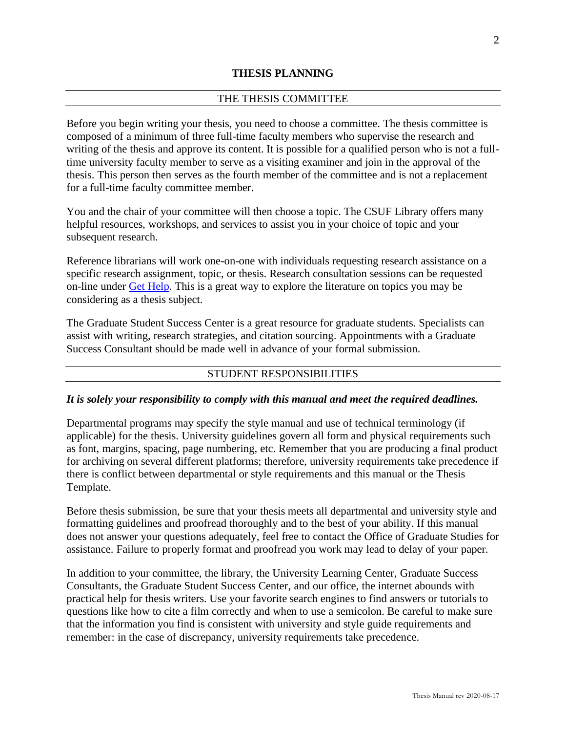# **THESIS PLANNING**

#### THE THESIS COMMITTEE

Before you begin writing your thesis, you need to choose a committee. The thesis committee is composed of a minimum of three full-time faculty members who supervise the research and writing of the thesis and approve its content. It is possible for a qualified person who is not a fulltime university faculty member to serve as a visiting examiner and join in the approval of the thesis. This person then serves as the fourth member of the committee and is not a replacement for a full-time faculty committee member.

You and the chair of your committee will then choose a topic. The CSUF Library offers many helpful resources, workshops, and services to assist you in your choice of topic and your subsequent research.

Reference librarians will work one-on-one with individuals requesting research assistance on a specific research assignment, topic, or thesis. Research consultation sessions can be requested on-line under [Get Help.](https://www.library.fullerton.edu/services/ask.php) This is a great way to explore the literature on topics you may be considering as a thesis subject.

The Graduate Student Success Center is a great resource for graduate students. Specialists can assist with writing, research strategies, and citation sourcing. Appointments with a Graduate Success Consultant should be made well in advance of your formal submission.

#### STUDENT RESPONSIBILITIES

#### *It is solely your responsibility to comply with this manual and meet the required deadlines.*

Departmental programs may specify the style manual and use of technical terminology (if applicable) for the thesis. University guidelines govern all form and physical requirements such as font, margins, spacing, page numbering, etc. Remember that you are producing a final product for archiving on several different platforms; therefore, university requirements take precedence if there is conflict between departmental or style requirements and this manual or the Thesis Template.

Before thesis submission, be sure that your thesis meets all departmental and university style and formatting guidelines and proofread thoroughly and to the best of your ability. If this manual does not answer your questions adequately, feel free to contact the Office of Graduate Studies for assistance. Failure to properly format and proofread you work may lead to delay of your paper.

In addition to your committee, the library, the University Learning Center, Graduate Success Consultants, the Graduate Student Success Center, and our office, the internet abounds with practical help for thesis writers. Use your favorite search engines to find answers or tutorials to questions like how to cite a film correctly and when to use a semicolon. Be careful to make sure that the information you find is consistent with university and style guide requirements and remember: in the case of discrepancy, university requirements take precedence.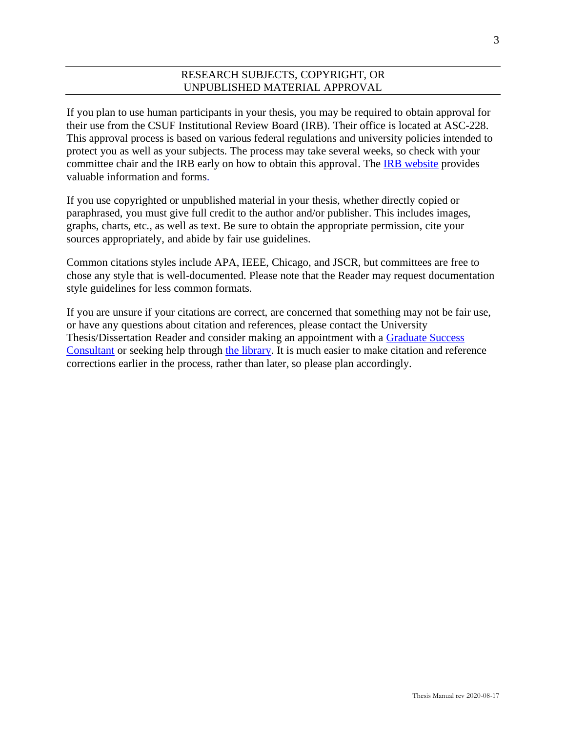# RESEARCH SUBJECTS, COPYRIGHT, OR UNPUBLISHED MATERIAL APPROVAL

If you plan to use human participants in your thesis, you may be required to obtain approval for their use from the CSUF Institutional Review Board (IRB). Their office is located at ASC-228. This approval process is based on various federal regulations and university policies intended to protect you as well as your subjects. The process may take several weeks, so check with your committee chair and the IRB early on how to obtain this approval. Th[e IRB website](https://www.fullerton.edu/doresearch/compliance/irb_cayuse.php) provides valuable information and forms.

If you use copyrighted or unpublished material in your thesis, whether directly copied or paraphrased, you must give full credit to the author and/or publisher. This includes images, graphs, charts, etc., as well as text. Be sure to obtain the appropriate permission, cite your sources appropriately, and abide by fair use guidelines.

Common citations styles include APA, IEEE, Chicago, and JSCR, but committees are free to chose any style that is well-documented. Please note that the Reader may request documentation style guidelines for less common formats.

If you are unsure if your citations are correct, are concerned that something may not be fair use, or have any questions about citation and references, please contact the University Thesis/Dissertation Reader and consider making an appointment with a [Graduate Success](https://www.fullerton.edu/graduate/soar/index.php#gls)  [Consultant](https://www.fullerton.edu/graduate/soar/index.php#gls) or seeking help through [the library.](https://www.library.fullerton.edu/services/ask.php) It is much easier to make citation and reference corrections earlier in the process, rather than later, so please plan accordingly.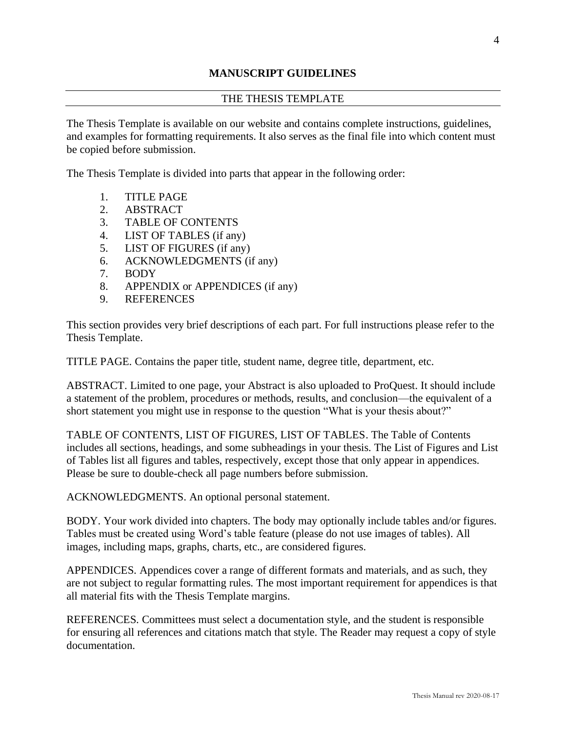# **MANUSCRIPT GUIDELINES**

#### THE THESIS TEMPLATE

The Thesis Template is available on our website and contains complete instructions, guidelines, and examples for formatting requirements. It also serves as the final file into which content must be copied before submission.

The Thesis Template is divided into parts that appear in the following order:

- 1. TITLE PAGE
- 2. ABSTRACT
- 3. TABLE OF CONTENTS
- 4. LIST OF TABLES (if any)
- 5. LIST OF FIGURES (if any)
- 6. ACKNOWLEDGMENTS (if any)
- 7. BODY
- 8. APPENDIX or APPENDICES (if any)
- 9. REFERENCES

This section provides very brief descriptions of each part. For full instructions please refer to the Thesis Template.

TITLE PAGE. Contains the paper title, student name, degree title, department, etc.

ABSTRACT. Limited to one page, your Abstract is also uploaded to ProQuest. It should include a statement of the problem, procedures or methods, results, and conclusion—the equivalent of a short statement you might use in response to the question "What is your thesis about?"

TABLE OF CONTENTS, LIST OF FIGURES, LIST OF TABLES. The Table of Contents includes all sections, headings, and some subheadings in your thesis. The List of Figures and List of Tables list all figures and tables, respectively, except those that only appear in appendices. Please be sure to double-check all page numbers before submission.

ACKNOWLEDGMENTS. An optional personal statement.

BODY. Your work divided into chapters. The body may optionally include tables and/or figures. Tables must be created using Word's table feature (please do not use images of tables). All images, including maps, graphs, charts, etc., are considered figures.

APPENDICES. Appendices cover a range of different formats and materials, and as such, they are not subject to regular formatting rules. The most important requirement for appendices is that all material fits with the Thesis Template margins.

REFERENCES. Committees must select a documentation style, and the student is responsible for ensuring all references and citations match that style. The Reader may request a copy of style documentation.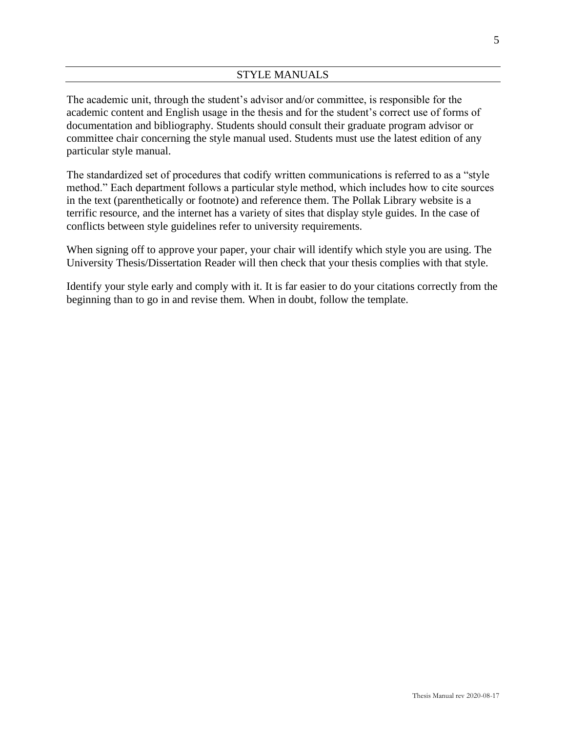The academic unit, through the student's advisor and/or committee, is responsible for the academic content and English usage in the thesis and for the student's correct use of forms of documentation and bibliography. Students should consult their graduate program advisor or committee chair concerning the style manual used. Students must use the latest edition of any particular style manual.

The standardized set of procedures that codify written communications is referred to as a "style method." Each department follows a particular style method, which includes how to cite sources in the text (parenthetically or footnote) and reference them. The Pollak Library website is a terrific resource, and the internet has a variety of sites that display style guides. In the case of conflicts between style guidelines refer to university requirements.

When signing off to approve your paper, your chair will identify which style you are using. The University Thesis/Dissertation Reader will then check that your thesis complies with that style.

Identify your style early and comply with it. It is far easier to do your citations correctly from the beginning than to go in and revise them. When in doubt, follow the template.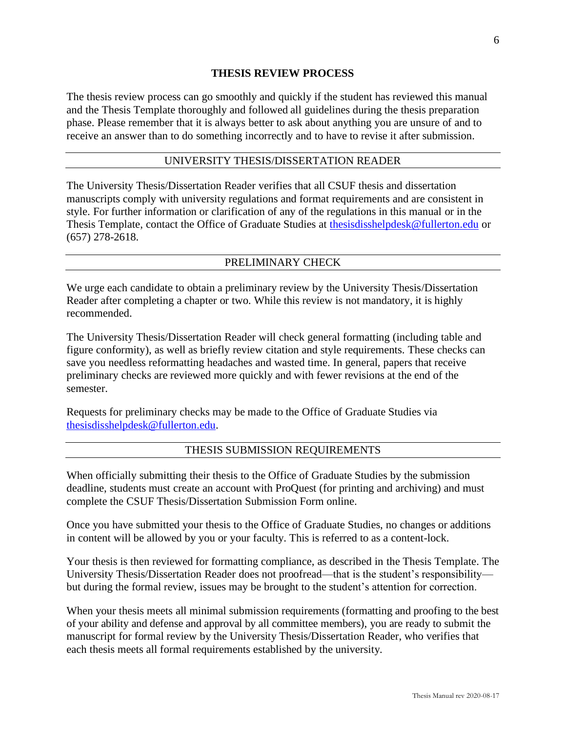#### **THESIS REVIEW PROCESS**

The thesis review process can go smoothly and quickly if the student has reviewed this manual and the Thesis Template thoroughly and followed all guidelines during the thesis preparation phase. Please remember that it is always better to ask about anything you are unsure of and to receive an answer than to do something incorrectly and to have to revise it after submission.

#### UNIVERSITY THESIS/DISSERTATION READER

The University Thesis/Dissertation Reader verifies that all CSUF thesis and dissertation manuscripts comply with university regulations and format requirements and are consistent in style. For further information or clarification of any of the regulations in this manual or in the Thesis Template, contact the Office of Graduate Studies at [thesisdisshelpdesk@fullerton.edu](mailto:thesisdisshelpdesk@fullerton.edu) or (657) 278-2618.

#### PRELIMINARY CHECK

We urge each candidate to obtain a preliminary review by the University Thesis/Dissertation Reader after completing a chapter or two. While this review is not mandatory, it is highly recommended.

The University Thesis/Dissertation Reader will check general formatting (including table and figure conformity), as well as briefly review citation and style requirements. These checks can save you needless reformatting headaches and wasted time. In general, papers that receive preliminary checks are reviewed more quickly and with fewer revisions at the end of the semester.

Requests for preliminary checks may be made to the Office of Graduate Studies via [thesisdisshelpdesk@fullerton.edu.](mailto:thesisdisshelpdesk@fullerton.edu)

#### THESIS SUBMISSION REQUIREMENTS

When officially submitting their thesis to the Office of Graduate Studies by the submission deadline, students must create an account with ProQuest (for printing and archiving) and must complete the CSUF Thesis/Dissertation Submission Form online.

Once you have submitted your thesis to the Office of Graduate Studies, no changes or additions in content will be allowed by you or your faculty. This is referred to as a content-lock.

Your thesis is then reviewed for formatting compliance, as described in the Thesis Template. The University Thesis/Dissertation Reader does not proofread—that is the student's responsibility but during the formal review, issues may be brought to the student's attention for correction.

When your thesis meets all minimal submission requirements (formatting and proofing to the best of your ability and defense and approval by all committee members), you are ready to submit the manuscript for formal review by the University Thesis/Dissertation Reader, who verifies that each thesis meets all formal requirements established by the university.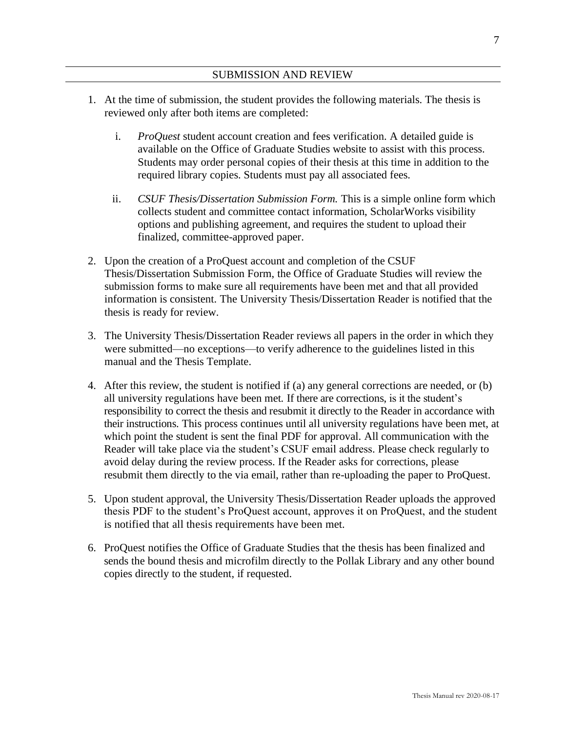#### SUBMISSION AND REVIEW

- 1. At the time of submission, the student provides the following materials. The thesis is reviewed only after both items are completed:
	- i. *ProQuest* student account creation and fees verification. A detailed guide is available on the Office of Graduate Studies website to assist with this process. Students may order personal copies of their thesis at this time in addition to the required library copies. Students must pay all associated fees.
	- ii. *CSUF Thesis/Dissertation Submission Form.* This is a simple online form which collects student and committee contact information, ScholarWorks visibility options and publishing agreement, and requires the student to upload their finalized, committee-approved paper.
- 2. Upon the creation of a ProQuest account and completion of the CSUF Thesis/Dissertation Submission Form, the Office of Graduate Studies will review the submission forms to make sure all requirements have been met and that all provided information is consistent. The University Thesis/Dissertation Reader is notified that the thesis is ready for review.
- 3. The University Thesis/Dissertation Reader reviews all papers in the order in which they were submitted—no exceptions—to verify adherence to the guidelines listed in this manual and the Thesis Template.
- 4. After this review, the student is notified if (a) any general corrections are needed, or (b) all university regulations have been met. If there are corrections, is it the student's responsibility to correct the thesis and resubmit it directly to the Reader in accordance with their instructions. This process continues until all university regulations have been met, at which point the student is sent the final PDF for approval. All communication with the Reader will take place via the student's CSUF email address. Please check regularly to avoid delay during the review process. If the Reader asks for corrections, please resubmit them directly to the via email, rather than re-uploading the paper to ProQuest.
- 5. Upon student approval, the University Thesis/Dissertation Reader uploads the approved thesis PDF to the student's ProQuest account, approves it on ProQuest, and the student is notified that all thesis requirements have been met.
- 6. ProQuest notifies the Office of Graduate Studies that the thesis has been finalized and sends the bound thesis and microfilm directly to the Pollak Library and any other bound copies directly to the student, if requested.